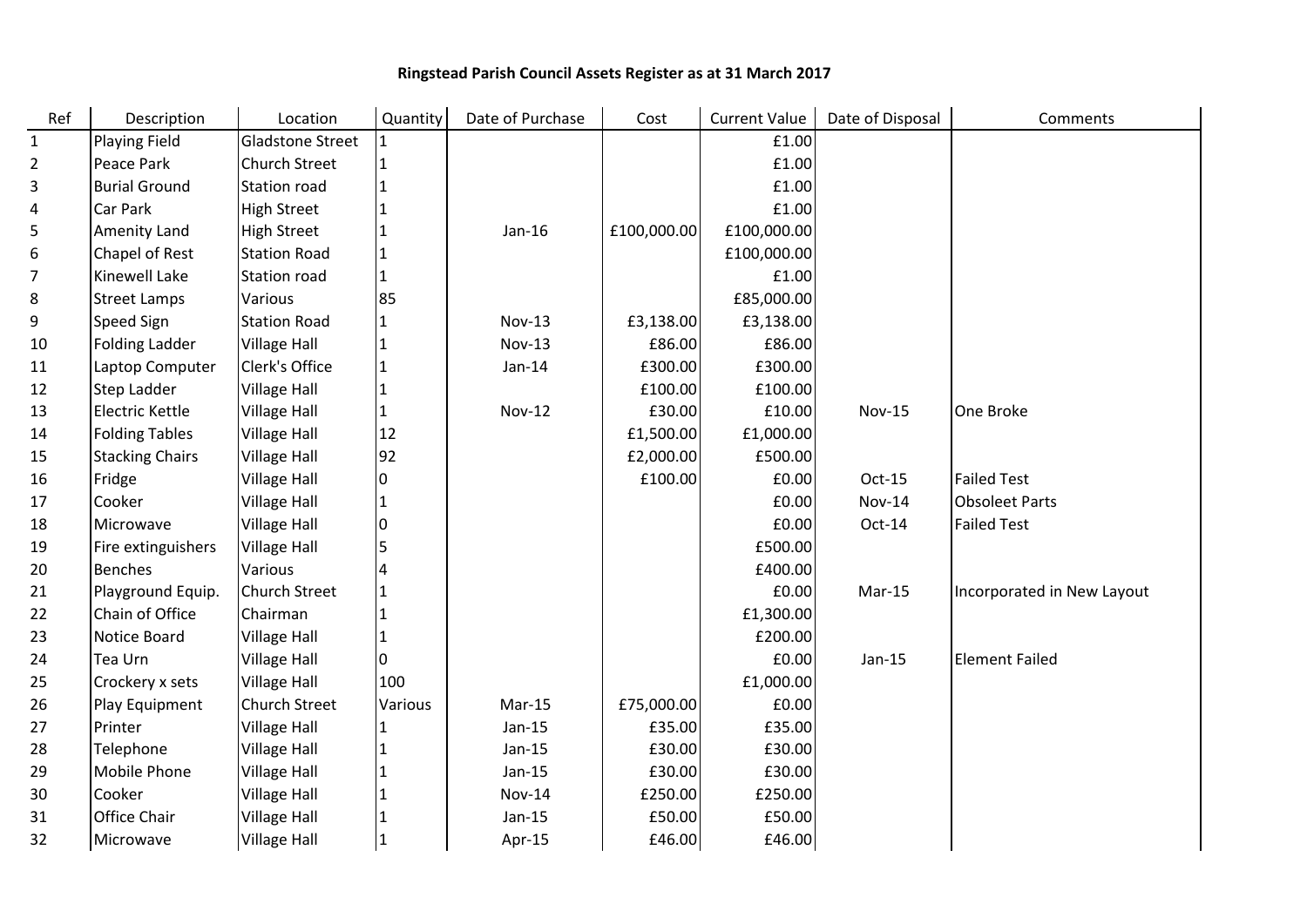## Ringstead Parish Council Assets Register as at 31 March 2017

| Ref            | Description            | Location                | Quantity | Date of Purchase | Cost        | <b>Current Value</b> | Date of Disposal | Comments                   |
|----------------|------------------------|-------------------------|----------|------------------|-------------|----------------------|------------------|----------------------------|
| $\mathbf{1}$   | <b>Playing Field</b>   | <b>Gladstone Street</b> | l 1      |                  |             | £1.00                |                  |                            |
| $\overline{2}$ | Peace Park             | <b>Church Street</b>    | 1        |                  |             | £1.00                |                  |                            |
| 3              | <b>Burial Ground</b>   | <b>Station road</b>     | 1        |                  |             | £1.00                |                  |                            |
| 4              | Car Park               | <b>High Street</b>      | 1        |                  |             | £1.00                |                  |                            |
| 5              | Amenity Land           | <b>High Street</b>      | 1        | $Jan-16$         | £100,000.00 | £100,000.00          |                  |                            |
| 6              | Chapel of Rest         | <b>Station Road</b>     | 1        |                  |             | £100,000.00          |                  |                            |
| 7              | Kinewell Lake          | <b>Station road</b>     | 1        |                  |             | £1.00                |                  |                            |
| 8              | <b>Street Lamps</b>    | Various                 | 85       |                  |             | £85,000.00           |                  |                            |
| 9              | Speed Sign             | <b>Station Road</b>     | 1        | <b>Nov-13</b>    | £3,138.00   | £3,138.00            |                  |                            |
| 10             | <b>Folding Ladder</b>  | <b>Village Hall</b>     | 1        | <b>Nov-13</b>    | £86.00      | £86.00               |                  |                            |
| 11             | Laptop Computer        | Clerk's Office          | 1        | $Jan-14$         | £300.00     | £300.00              |                  |                            |
| 12             | Step Ladder            | <b>Village Hall</b>     | 1        |                  | £100.00     | £100.00              |                  |                            |
| 13             | <b>Electric Kettle</b> | <b>Village Hall</b>     | 1        | <b>Nov-12</b>    | £30.00      | £10.00               | <b>Nov-15</b>    | One Broke                  |
| 14             | <b>Folding Tables</b>  | <b>Village Hall</b>     | $12$     |                  | £1,500.00   | £1,000.00            |                  |                            |
| 15             | <b>Stacking Chairs</b> | <b>Village Hall</b>     | 92       |                  | £2,000.00   | £500.00              |                  |                            |
| 16             | Fridge                 | <b>Village Hall</b>     | 0        |                  | £100.00     | £0.00                | Oct-15           | <b>Failed Test</b>         |
| 17             | Cooker                 | <b>Village Hall</b>     | 1        |                  |             | £0.00                | <b>Nov-14</b>    | <b>Obsoleet Parts</b>      |
| 18             | Microwave              | <b>Village Hall</b>     | 0        |                  |             | £0.00                | Oct-14           | <b>Failed Test</b>         |
| 19             | Fire extinguishers     | <b>Village Hall</b>     | 5        |                  |             | £500.00              |                  |                            |
| 20             | <b>Benches</b>         | Various                 | 4        |                  |             | £400.00              |                  |                            |
| 21             | Playground Equip.      | <b>Church Street</b>    | 1        |                  |             | £0.00                | Mar-15           | Incorporated in New Layout |
| 22             | Chain of Office        | Chairman                | 11       |                  |             | £1,300.00            |                  |                            |
| 23             | Notice Board           | <b>Village Hall</b>     | 1        |                  |             | £200.00              |                  |                            |
| 24             | Tea Urn                | <b>Village Hall</b>     | 10       |                  |             | £0.00                | $Jan-15$         | <b>Element Failed</b>      |
| 25             | Crockery x sets        | <b>Village Hall</b>     | 100      |                  |             | £1,000.00            |                  |                            |
| 26             | Play Equipment         | <b>Church Street</b>    | Various  | $Mar-15$         | £75,000.00  | £0.00                |                  |                            |
| 27             | Printer                | <b>Village Hall</b>     | 1        | $Jan-15$         | £35.00      | £35.00               |                  |                            |
| 28             | Telephone              | <b>Village Hall</b>     | 1        | $Jan-15$         | £30.00      | £30.00               |                  |                            |
| 29             | Mobile Phone           | <b>Village Hall</b>     | 1        | $Jan-15$         | £30.00      | £30.00               |                  |                            |
| 30             | Cooker                 | <b>Village Hall</b>     | 1        | <b>Nov-14</b>    | £250.00     | £250.00              |                  |                            |
| 31             | <b>Office Chair</b>    | <b>Village Hall</b>     | 1        | $Jan-15$         | £50.00      | £50.00               |                  |                            |
| 32             | Microwave              | <b>Village Hall</b>     | 1        | Apr-15           | £46.00      | £46.00               |                  |                            |